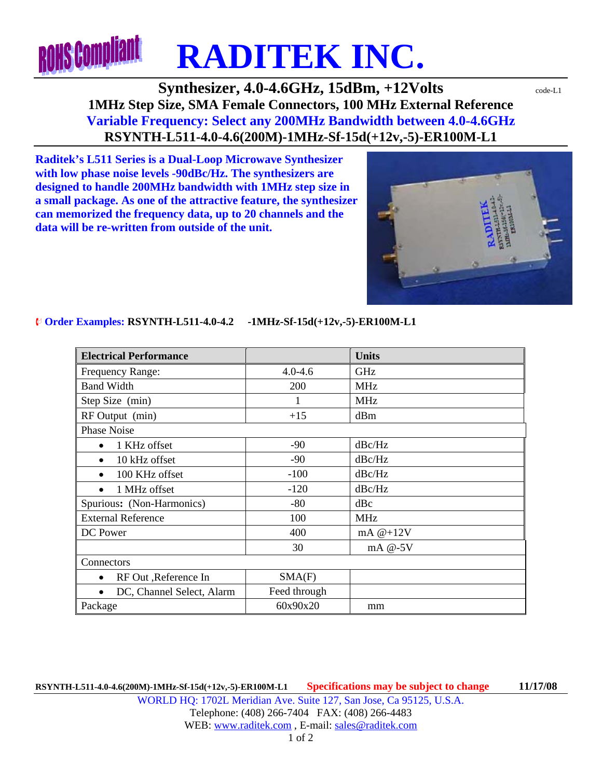## **ROHS Compliant RADITEK INC.**

## **Synthesizer, 4.0-4.6GHz, 15dBm, +12Volts**  $\text{code-LI}$ **1MHz Step Size, SMA Female Connectors, 100 MHz External Reference Variable Frequency: Select any 200MHz Bandwidth between 4.0-4.6GHz RSYNTH-L511-4.0-4.6(200M)-1MHz-Sf-15d(+12v,-5)-ER100M-L1**

**Raditek's L511 Series is a Dual-Loop Microwave Synthesizer with low phase noise levels -90dBc/Hz. The synthesizers are designed to handle 200MHz bandwidth with 1MHz step size in a small package. As one of the attractive feature, the synthesizer can memorized the frequency data, up to 20 channels and the data will be re-written from outside of the unit.** 

## ¨ **Order Examples: RSYNTH-L511-4.0-4.2 -1MHz-Sf-15d(+12v,-5)-ER100M-L1**

| <b>Electrical Performance</b> |              | <b>Units</b> |
|-------------------------------|--------------|--------------|
| Frequency Range:              | $4.0 - 4.6$  | <b>GHz</b>   |
| <b>Band Width</b>             | 200          | <b>MHz</b>   |
| Step Size (min)               |              | <b>MHz</b>   |
| RF Output (min)               | $+15$        | dBm          |
| <b>Phase Noise</b>            |              |              |
| 1 KHz offset<br>$\bullet$     | $-90$        | dBc/Hz       |
| 10 kHz offset<br>$\bullet$    | $-90$        | dBc/Hz       |
| 100 KHz offset<br>$\bullet$   | $-100$       | dBc/Hz       |
| 1 MHz offset<br>$\bullet$     | $-120$       | dBc/Hz       |
| Spurious: (Non-Harmonics)     | $-80$        | dBc          |
| <b>External Reference</b>     | 100          | <b>MHz</b>   |
| DC Power                      | 400          | mA $@+12V$   |
|                               | 30           | mA @-5V      |
| Connectors                    |              |              |
| RF Out , Reference In         | SMA(F)       |              |
| DC, Channel Select, Alarm     | Feed through |              |
| Package                       | 60x90x20     | mm           |

**RSYNTH-L511-4.0-4.6(200M)-1MHz-Sf-15d(+12v,-5)-ER100M-L1 Specifications may be subject to change 11/17/08**  WORLD HQ: 1702L Meridian Ave. Suite 127, San Jose, Ca 95125, U.S.A. Telephone: (408) 266-7404 FAX: (408) 266-4483 WEB: www.raditek.com, E-mail: sales@raditek.com